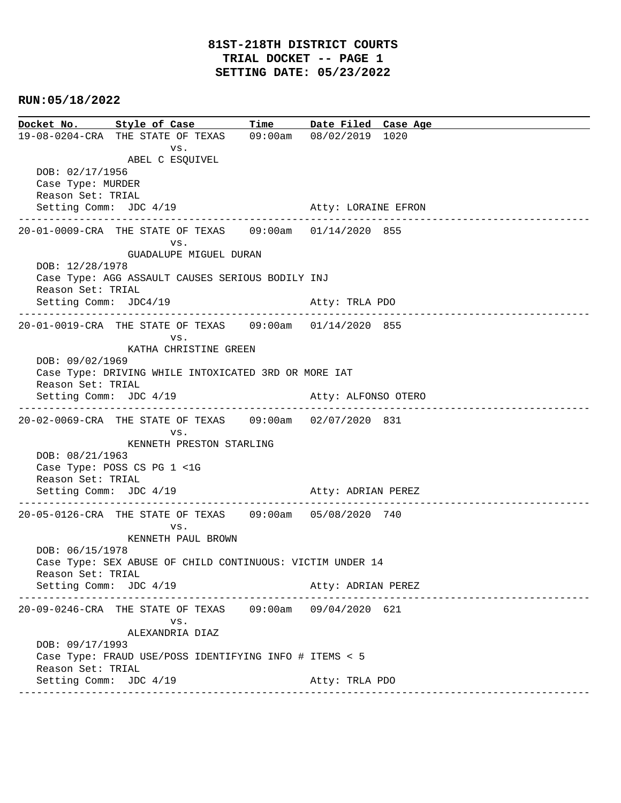**Docket No. Style of Case Time Date Filed Case Age**  19-08-0204-CRA THE STATE OF TEXAS 09:00am 08/02/2019 1020 vs. ABEL C ESQUIVEL DOB: 02/17/1956 Case Type: MURDER Reason Set: TRIAL Setting Comm: JDC 4/19 Atty: LORAINE EFRON ---------------------------------------------------------------------------------------------- 20-01-0009-CRA THE STATE OF TEXAS 09:00am 01/14/2020 855 vs. GUADALUPE MIGUEL DURAN DOB: 12/28/1978 Case Type: AGG ASSAULT CAUSES SERIOUS BODILY INJ Reason Set: TRIAL Setting Comm: JDC4/19 Atty: TRLA PDO ---------------------------------------------------------------------------------------------- 20-01-0019-CRA THE STATE OF TEXAS 09:00am 01/14/2020 855 vs. KATHA CHRISTINE GREEN DOB: 09/02/1969 Case Type: DRIVING WHILE INTOXICATED 3RD OR MORE IAT Reason Set: TRIAL Setting Comm: JDC 4/19 Atty: ALFONSO OTERO ---------------------------------------------------------------------------------------------- 20-02-0069-CRA THE STATE OF TEXAS 09:00am 02/07/2020 831 vs. KENNETH PRESTON STARLING DOB: 08/21/1963 Case Type: POSS CS PG 1 <1G Reason Set: TRIAL Setting Comm: JDC 4/19 Atty: ADRIAN PEREZ ---------------------------------------------------------------------------------------------- 20-05-0126-CRA THE STATE OF TEXAS 09:00am 05/08/2020 740 vs. KENNETH PAUL BROWN DOB: 06/15/1978 Case Type: SEX ABUSE OF CHILD CONTINUOUS: VICTIM UNDER 14 Reason Set: TRIAL Setting Comm: JDC 4/19 Atty: ADRIAN PEREZ ---------------------------------------------------------------------------------------------- 20-09-0246-CRA THE STATE OF TEXAS 09:00am 09/04/2020 621 vs. ALEXANDRIA DIAZ DOB: 09/17/1993 Case Type: FRAUD USE/POSS IDENTIFYING INFO # ITEMS < 5 Reason Set: TRIAL Setting Comm: JDC 4/19 Atty: TRLA PDO ----------------------------------------------------------------------------------------------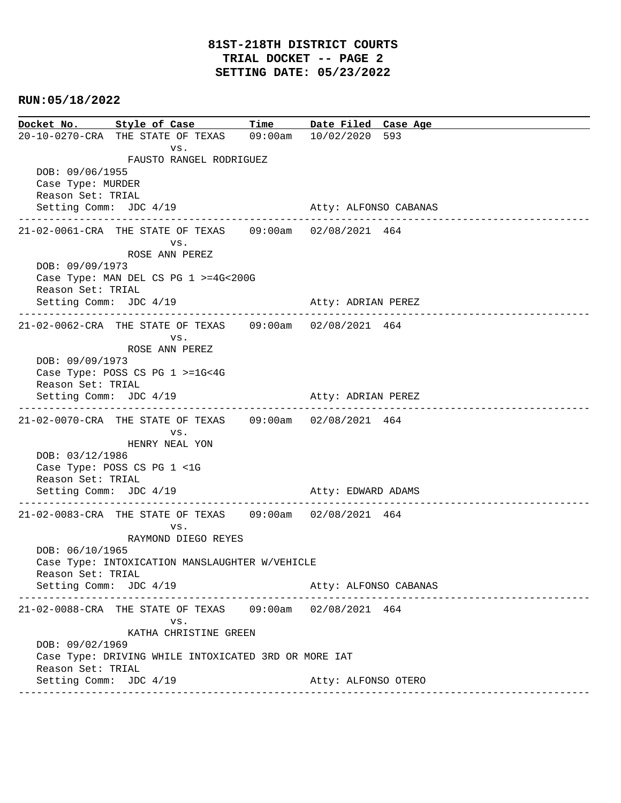**Docket No. Style of Case Time Date Filed Case Age**  20-10-0270-CRA THE STATE OF TEXAS 09:00am 10/02/2020 593 vs. FAUSTO RANGEL RODRIGUEZ DOB: 09/06/1955 Case Type: MURDER Reason Set: TRIAL Setting Comm: JDC 4/19 Atty: ALFONSO CABANAS ---------------------------------------------------------------------------------------------- 21-02-0061-CRA THE STATE OF TEXAS 09:00am 02/08/2021 464 vs. ROSE ANN PEREZ DOB: 09/09/1973 Case Type: MAN DEL CS PG 1 >=4G<200G Reason Set: TRIAL Setting Comm: JDC 4/19 Atty: ADRIAN PEREZ ---------------------------------------------------------------------------------------------- 21-02-0062-CRA THE STATE OF TEXAS 09:00am 02/08/2021 464 vs. ROSE ANN PEREZ DOB: 09/09/1973 Case Type: POSS CS PG 1 >=1G<4G Reason Set: TRIAL Setting Comm: JDC 4/19 Atty: ADRIAN PEREZ ---------------------------------------------------------------------------------------------- 21-02-0070-CRA THE STATE OF TEXAS 09:00am 02/08/2021 464 vs. HENRY NEAL YON DOB: 03/12/1986 Case Type: POSS CS PG 1 <1G Reason Set: TRIAL Setting Comm: JDC 4/19 Atty: EDWARD ADAMS ---------------------------------------------------------------------------------------------- 21-02-0083-CRA THE STATE OF TEXAS 09:00am 02/08/2021 464 vs. RAYMOND DIEGO REYES DOB: 06/10/1965 Case Type: INTOXICATION MANSLAUGHTER W/VEHICLE Reason Set: TRIAL Setting Comm: JDC 4/19 Atty: ALFONSO CABANAS ---------------------------------------------------------------------------------------------- 21-02-0088-CRA THE STATE OF TEXAS 09:00am 02/08/2021 464 vs. KATHA CHRISTINE GREEN DOB: 09/02/1969 Case Type: DRIVING WHILE INTOXICATED 3RD OR MORE IAT Reason Set: TRIAL Setting Comm: JDC 4/19 Atty: ALFONSO OTERO ----------------------------------------------------------------------------------------------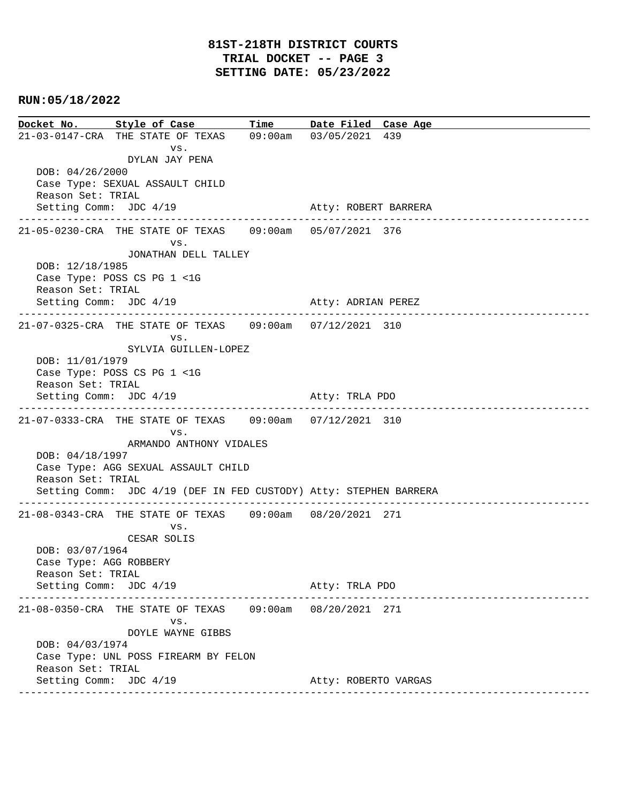**Docket No. Style of Case Time Date Filed Case Age**  21-03-0147-CRA THE STATE OF TEXAS 09:00am 03/05/2021 439 vs. DYLAN JAY PENA DOB: 04/26/2000 Case Type: SEXUAL ASSAULT CHILD Reason Set: TRIAL Setting Comm: JDC 4/19 Atty: ROBERT BARRERA ---------------------------------------------------------------------------------------------- 21-05-0230-CRA THE STATE OF TEXAS 09:00am 05/07/2021 376 vs. JONATHAN DELL TALLEY DOB: 12/18/1985 Case Type: POSS CS PG 1 <1G Reason Set: TRIAL Setting Comm: JDC 4/19 Atty: ADRIAN PEREZ ---------------------------------------------------------------------------------------------- 21-07-0325-CRA THE STATE OF TEXAS 09:00am 07/12/2021 310 vs. SYLVIA GUILLEN-LOPEZ DOB: 11/01/1979 Case Type: POSS CS PG 1 <1G Reason Set: TRIAL Setting Comm: JDC 4/19 Atty: TRLA PDO ---------------------------------------------------------------------------------------------- 21-07-0333-CRA THE STATE OF TEXAS 09:00am 07/12/2021 310 vs. ARMANDO ANTHONY VIDALES DOB: 04/18/1997 Case Type: AGG SEXUAL ASSAULT CHILD Reason Set: TRIAL Setting Comm: JDC 4/19 (DEF IN FED CUSTODY) Atty: STEPHEN BARRERA ---------------------------------------------------------------------------------------------- 21-08-0343-CRA THE STATE OF TEXAS 09:00am 08/20/2021 271 vs. CESAR SOLIS DOB: 03/07/1964 Case Type: AGG ROBBERY Reason Set: TRIAL Setting Comm: JDC 4/19 Atty: TRLA PDO ---------------------------------------------------------------------------------------------- 21-08-0350-CRA THE STATE OF TEXAS 09:00am 08/20/2021 271 vs. DOYLE WAYNE GIBBS DOB: 04/03/1974 Case Type: UNL POSS FIREARM BY FELON Reason Set: TRIAL Setting Comm: JDC 4/19 Atty: ROBERTO VARGAS ----------------------------------------------------------------------------------------------